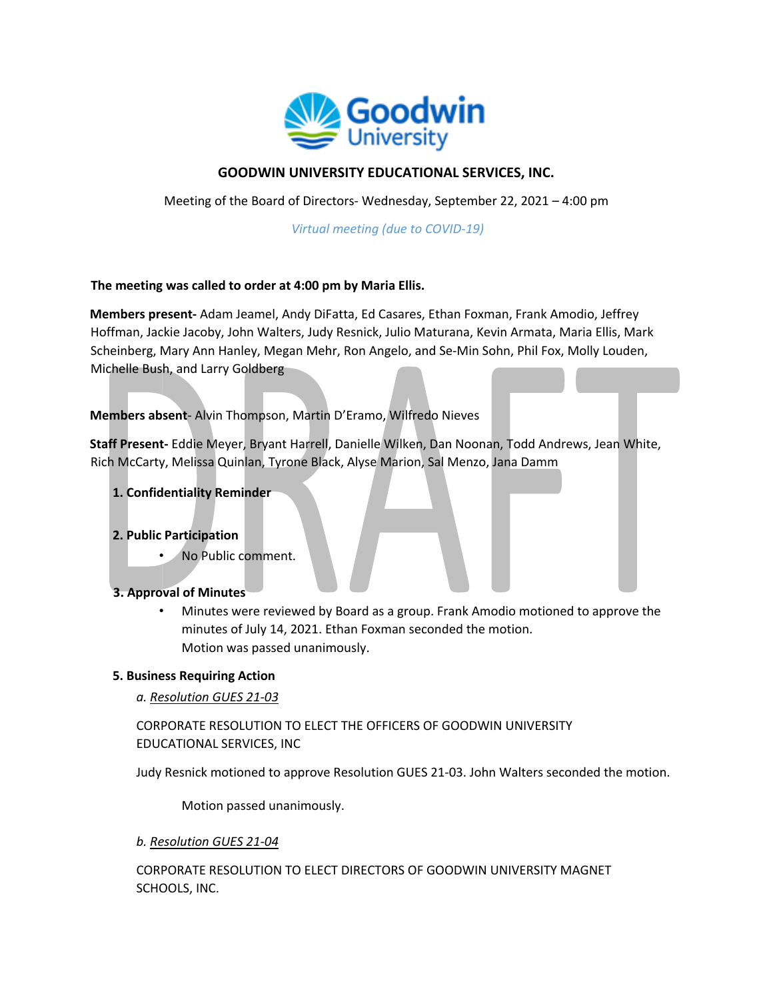

# **GOODWIN UNIVERSITY EDUCATIONAL SERVICES, INC.**

Meeting of the Board of Directors- Wednesday, September 22, 2021 – 4:00 pm

*Virtual meeting (due to COVID-19)* 

#### **The meeting was called to order at 4:00 pm by Maria Ellis.**

**Members present-** Adam Jeamel, Andy DiFatta, Ed Casares, Ethan Foxman, Frank Amodio, Jeffrey Hoffman, Jackie Jacoby, John Walters, Judy Resnick, Julio Maturana, Kevin Armata, Maria Ellis, Mark Scheinberg, Mary Ann Hanley, Megan Mehr, Ron Angelo, and Se-Min Sohn, Phil Fox, Molly Louden, Michelle Bush, and Larry Goldberg

## **Members absent**- Alvin Thompson, Martin D'Eramo, Wilfredo Nieves

**Staff Present-** Eddie Meyer, Bryant Harrell, Danielle Wilken, Dan Noonan, Todd Andrews, Jean White, Rich McCarty, Melissa Quinlan, Tyrone Black, Alyse Marion, Sal Menzo, Jana Damm

**1. Confidentiality Reminder**

#### **2. Public Participation**

• No Public comment.

#### **3. Approval of Minutes**

• Minutes were reviewed by Board as a group. Frank Amodio motioned to approve the minutes of July 14, 2021. Ethan Foxman seconded the motion. Motion was passed unanimously.

#### **5. Business Requiring Action**

*a. Resolution GUES 21-03*

CORPORATE RESOLUTION TO ELECT THE OFFICERS OF GOODWIN UNIVERSITY EDUCATIONAL SERVICES, INC

Judy Resnick motioned to approve Resolution GUES 21-03. John Walters seconded the motion.

Motion passed unanimously.

*b. Resolution GUES 21-04*

CORPORATE RESOLUTION TO ELECT DIRECTORS OF GOODWIN UNIVERSITY MAGNET SCHOOLS, INC.